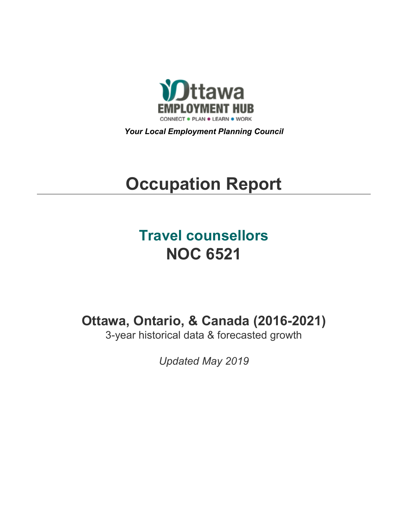

*Your Local Employment Planning Council*

# **Occupation Report**

## **Travel counsellors NOC 6521**

**Ottawa, Ontario, & Canada (2016-2021)**

3-year historical data & forecasted growth

*Updated May 2019*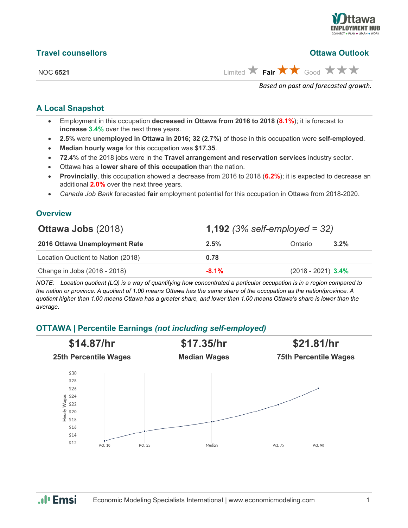

| <b>Travel counsellors</b> | <b>Ottawa Outlook</b>                                                         |
|---------------------------|-------------------------------------------------------------------------------|
| <b>NOC 6521</b>           | Limited $\bigstar$ Fair $\bigstar \bigstar$ Good $\bigstar \bigstar \bigstar$ |
|                           | Based on past and forecasted growth.                                          |

#### **A Local Snapshot**

- Employment in this occupation **decreased in Ottawa from 2016 to 2018** (**8.1%**); it is forecast to **increase 3.4%** over the next three years.
- **2.5%** were **unemployed in Ottawa in 2016; 32 (2.7%)** of those in this occupation were **self-employed**.
- **Median hourly wage** for this occupation was **\$17.35**.
- **72.4%** of the 2018 jobs were in the **Travel arrangement and reservation services** industry sector.
- Ottawa has a **lower share of this occupation** than the nation.
- **Provincially**, this occupation showed a decrease from 2016 to 2018 (**6.2%**); it is expected to decrease an additional **2.0%** over the next three years.
- *Canada Job Bank* forecasted **fair** employment potential for this occupation in Ottawa from 2018-2020.

#### **Overview**

| <b>Ottawa Jobs (2018)</b>          | <b>1,192</b> (3% self-employed = 32) |                      |         |  |
|------------------------------------|--------------------------------------|----------------------|---------|--|
| 2016 Ottawa Unemployment Rate      | 2.5%                                 | Ontario              | $3.2\%$ |  |
| Location Quotient to Nation (2018) | 0.78                                 |                      |         |  |
| Change in Jobs (2016 - 2018)       | $-8.1\%$                             | $(2018 - 2021)$ 3.4% |         |  |

*NOTE: Location quotient (LQ) is a way of quantifying how concentrated a particular occupation is in a region compared to the nation or province. A quotient of 1.00 means Ottawa has the same share of the occupation as the nation/province. A quotient higher than 1.00 means Ottawa has a greater share, and lower than 1.00 means Ottawa's share is lower than the average.*

#### **OTTAWA | Percentile Earnings** *(not including self-employed)*



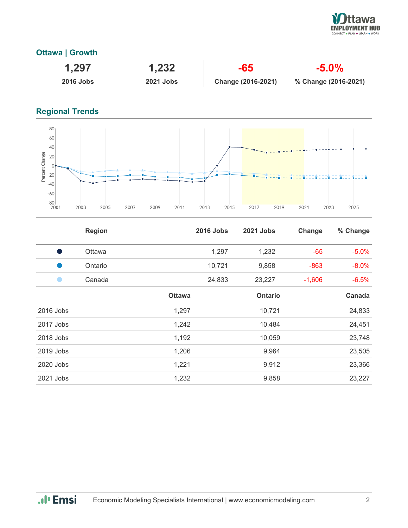

#### **Ottawa | Growth**

| 1,297       | 1,232            | -65                       | -5.0%                |
|-------------|------------------|---------------------------|----------------------|
| $2016$ Jobs | <b>2021 Jobs</b> | <b>Change (2016-2021)</b> | % Change (2016-2021) |

### **Regional Trends**



|             | <b>Region</b> |               | <b>2016 Jobs</b> | 2021 Jobs      | Change   | % Change |
|-------------|---------------|---------------|------------------|----------------|----------|----------|
| s,          | Ottawa        |               | 1,297            | 1,232          | $-65$    | $-5.0%$  |
|             | Ontario       |               | 10,721           | 9,858          | $-863$   | $-8.0%$  |
|             | Canada        |               | 24,833           | 23,227         | $-1,606$ | $-6.5%$  |
|             |               | <b>Ottawa</b> |                  | <b>Ontario</b> |          | Canada   |
| $2016$ Jobs |               | 1,297         |                  | 10,721         |          | 24,833   |
| 2017 Jobs   |               | 1,242         |                  | 10,484         |          | 24,451   |
| 2018 Jobs   |               | 1,192         |                  | 10,059         |          | 23,748   |
| 2019 Jobs   |               | 1,206         |                  | 9,964          |          | 23,505   |
| 2020 Jobs   |               | 1,221         |                  | 9,912          |          | 23,366   |
| 2021 Jobs   |               | 1,232         |                  | 9,858          |          | 23,227   |

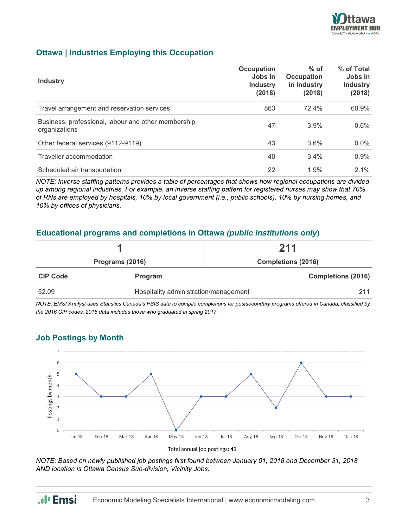

#### **Ottawa | Industries Employing this Occupation**

| <b>Industry</b>                                                      | Occupation<br>Jobs in<br><b>Industry</b><br>(2018) | $%$ of<br><b>Occupation</b><br>in Industry<br>(2018) | % of Total<br>Jobs in<br><b>Industry</b><br>(2018) |
|----------------------------------------------------------------------|----------------------------------------------------|------------------------------------------------------|----------------------------------------------------|
| Travel arrangement and reservation services                          | 863                                                | 72.4%                                                | 60.9%                                              |
| Business, professional, labour and other membership<br>organizations | 47                                                 | 3.9%                                                 | 0.6%                                               |
| Other federal services (9112-9119)                                   | 43                                                 | 3.6%                                                 | $0.0\%$                                            |
| Traveller accommodation                                              | 40                                                 | 3.4%                                                 | 0.9%                                               |
| Scheduled air transportation                                         | 22                                                 | 1.9%                                                 | $2.1\%$                                            |

*NOTE: Inverse staffing patterns provides a table of percentages that shows how regional occupations are divided up among regional industries. For example, an inverse staffing pattern for registered nurses may show that 70% of RNs are employed by hospitals, 10% by local government (i.e., public schools), 10% by nursing homes, and 10% by offices of physicians.*

#### **Educational programs and completions in Ottawa** *(public institutions only***)**

|                 |                                       | 211                       |  |  |
|-----------------|---------------------------------------|---------------------------|--|--|
| Programs (2016) |                                       | <b>Completions (2016)</b> |  |  |
| <b>CIP Code</b> | <b>Program</b>                        | <b>Completions (2016)</b> |  |  |
| 52.09           | Hospitality administration/management | 211                       |  |  |

*NOTE: EMSI Analyst uses Statistics Canada's PSIS data to compile completions for postsecondary programs offered in Canada, classified by the 2016 CIP codes. 2016 data includes those who graduated in spring 2017.*

#### **Job Postings by Month**



*NOTE: Based on newly published job postings first found between January 01, 2018 and December 31, 2018 AND location is Ottawa Census Sub-division, Vicinity Jobs.*